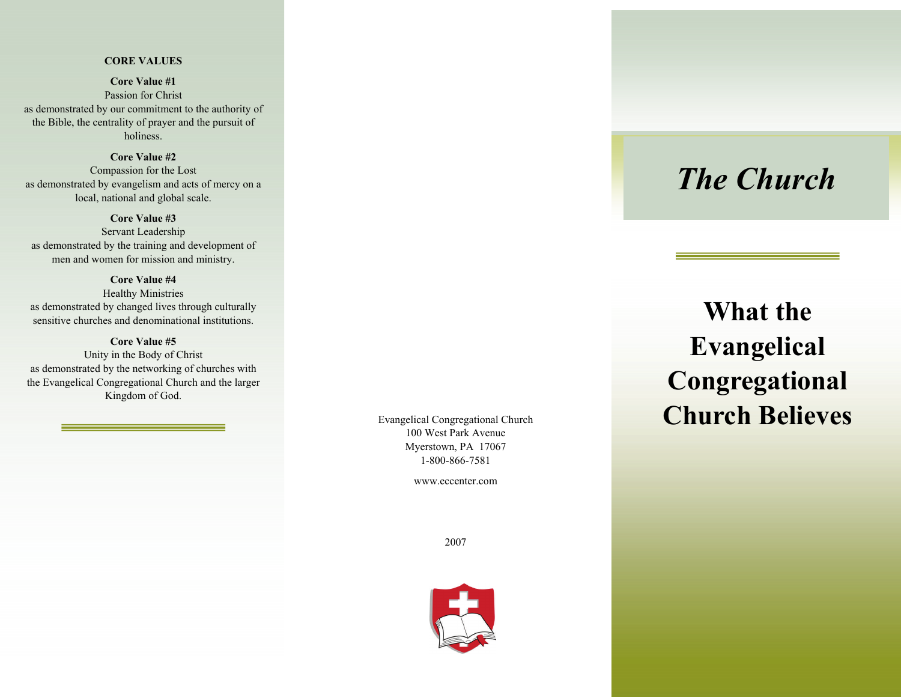## **CORE VALUES**

**Core Value #1**Passion for Christ as demonstrated by our commitment to the authority of the Bible, the centrality of prayer and the pursuit of holiness.

## **Core Value #2**

Compassion for the Lost as demonstrated by evangelism and acts of mercy on a local, national and global scale.

**Core Value #3** 

Servant Leadership as demonstrated by the training and development of men and women for mission and ministry.

### **Core Value #4**

Healthy Ministries as demonstrated by changed lives through culturally sensitive churches and denominational institutions.

### **Core Value #5**

Unity in the Body of Christ as demonstrated by the networking of churches with the Evangelical Congregational Church and the larger Kingdom of God.

> Evangelical Congregational Church 100 West Park Avenue Myerstown, PA 17067 1-800-866-7581

> > www.eccenter.com

2007



# *The Church*

# **What the Evangelical Congregational Church Believes**